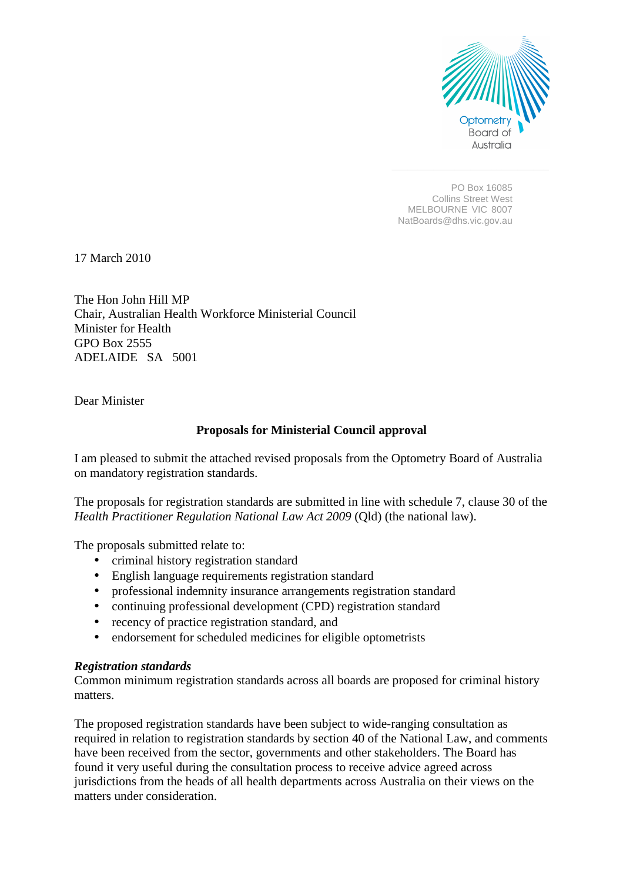

PO Box 16085 Collins Street West MELBOURNE VIC 8007 NatBoards@dhs.vic.gov.au

17 March 2010

The Hon John Hill MP Chair, Australian Health Workforce Ministerial Council Minister for Health GPO Box 2555 ADELAIDE SA 5001

Dear Minister

# **Proposals for Ministerial Council approval**

I am pleased to submit the attached revised proposals from the Optometry Board of Australia on mandatory registration standards.

The proposals for registration standards are submitted in line with schedule 7, clause 30 of the *Health Practitioner Regulation National Law Act 2009* (Qld) (the national law).

The proposals submitted relate to:

- criminal history registration standard
- English language requirements registration standard
- professional indemnity insurance arrangements registration standard
- continuing professional development (CPD) registration standard
- recency of practice registration standard, and
- endorsement for scheduled medicines for eligible optometrists

### *Registration standards*

Common minimum registration standards across all boards are proposed for criminal history matters.

The proposed registration standards have been subject to wide-ranging consultation as required in relation to registration standards by section 40 of the National Law, and comments have been received from the sector, governments and other stakeholders. The Board has found it very useful during the consultation process to receive advice agreed across jurisdictions from the heads of all health departments across Australia on their views on the matters under consideration.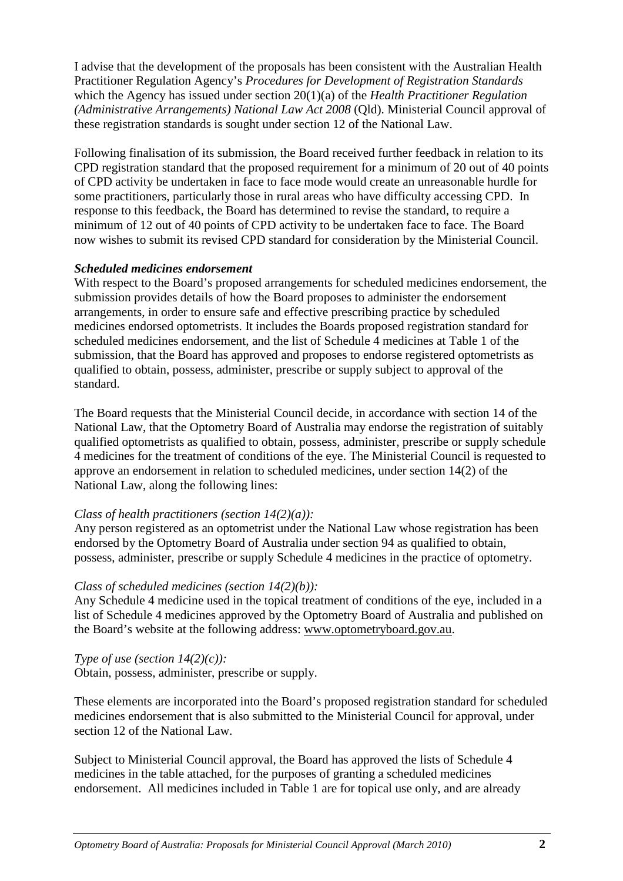I advise that the development of the proposals has been consistent with the Australian Health Practitioner Regulation Agency's *Procedures for Development of Registration Standards*  which the Agency has issued under section 20(1)(a) of the *Health Practitioner Regulation (Administrative Arrangements) National Law Act 2008* (Qld). Ministerial Council approval of these registration standards is sought under section 12 of the National Law.

Following finalisation of its submission, the Board received further feedback in relation to its CPD registration standard that the proposed requirement for a minimum of 20 out of 40 points of CPD activity be undertaken in face to face mode would create an unreasonable hurdle for some practitioners, particularly those in rural areas who have difficulty accessing CPD. In response to this feedback, the Board has determined to revise the standard, to require a minimum of 12 out of 40 points of CPD activity to be undertaken face to face. The Board now wishes to submit its revised CPD standard for consideration by the Ministerial Council.

# *Scheduled medicines endorsement*

With respect to the Board's proposed arrangements for scheduled medicines endorsement, the submission provides details of how the Board proposes to administer the endorsement arrangements, in order to ensure safe and effective prescribing practice by scheduled medicines endorsed optometrists. It includes the Boards proposed registration standard for scheduled medicines endorsement, and the list of Schedule 4 medicines at Table 1 of the submission, that the Board has approved and proposes to endorse registered optometrists as qualified to obtain, possess, administer, prescribe or supply subject to approval of the standard.

The Board requests that the Ministerial Council decide, in accordance with section 14 of the National Law, that the Optometry Board of Australia may endorse the registration of suitably qualified optometrists as qualified to obtain, possess, administer, prescribe or supply schedule 4 medicines for the treatment of conditions of the eye. The Ministerial Council is requested to approve an endorsement in relation to scheduled medicines, under section 14(2) of the National Law, along the following lines:

# *Class of health practitioners (section 14(2)(a)):*

Any person registered as an optometrist under the National Law whose registration has been endorsed by the Optometry Board of Australia under section 94 as qualified to obtain, possess, administer, prescribe or supply Schedule 4 medicines in the practice of optometry.

### *Class of scheduled medicines (section 14(2)(b)):*

Any Schedule 4 medicine used in the topical treatment of conditions of the eye, included in a list of Schedule 4 medicines approved by the Optometry Board of Australia and published on the Board's website at the following address: www.optometryboard.gov.au.

*Type of use (section 14(2)(c)):*  Obtain, possess, administer, prescribe or supply.

These elements are incorporated into the Board's proposed registration standard for scheduled medicines endorsement that is also submitted to the Ministerial Council for approval, under section 12 of the National Law.

Subject to Ministerial Council approval, the Board has approved the lists of Schedule 4 medicines in the table attached, for the purposes of granting a scheduled medicines endorsement. All medicines included in Table 1 are for topical use only, and are already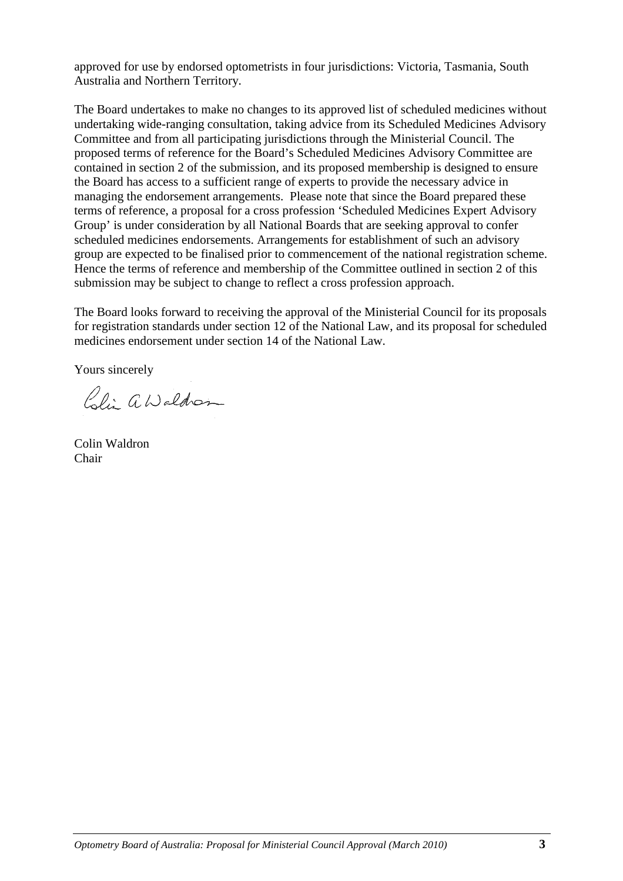approved for use by endorsed optometrists in four jurisdictions: Victoria, Tasmania, South Australia and Northern Territory.

The Board undertakes to make no changes to its approved list of scheduled medicines without undertaking wide-ranging consultation, taking advice from its Scheduled Medicines Advisory Committee and from all participating jurisdictions through the Ministerial Council. The proposed terms of reference for the Board's Scheduled Medicines Advisory Committee are contained in section 2 of the submission, and its proposed membership is designed to ensure the Board has access to a sufficient range of experts to provide the necessary advice in managing the endorsement arrangements. Please note that since the Board prepared these terms of reference, a proposal for a cross profession 'Scheduled Medicines Expert Advisory Group' is under consideration by all National Boards that are seeking approval to confer scheduled medicines endorsements. Arrangements for establishment of such an advisory group are expected to be finalised prior to commencement of the national registration scheme. Hence the terms of reference and membership of the Committee outlined in section 2 of this submission may be subject to change to reflect a cross profession approach.

The Board looks forward to receiving the approval of the Ministerial Council for its proposals for registration standards under section 12 of the National Law, and its proposal for scheduled medicines endorsement under section 14 of the National Law.

Yours sincerely

Coli aWaldren

Colin Waldron Chair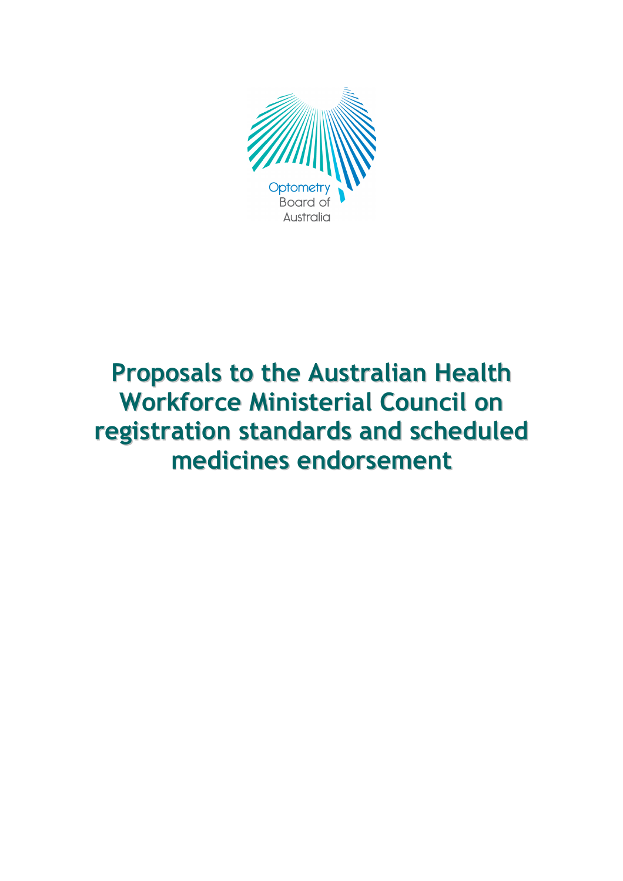

# Proposals to the Australian Health Workforce Ministerial Council on registration standards and scheduled medicines endorsement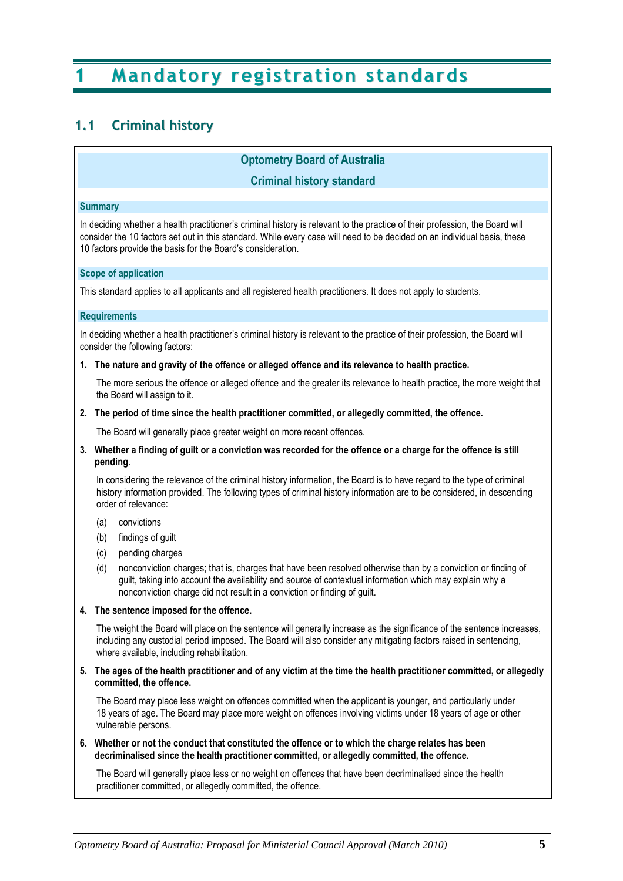# 1 Mandatory registration standards

# 1.1 Criminal history

# Optometry Board of Australia

### Criminal history standard

#### **Summary**

In deciding whether a health practitioner's criminal history is relevant to the practice of their profession, the Board will consider the 10 factors set out in this standard. While every case will need to be decided on an individual basis, these 10 factors provide the basis for the Board's consideration.

#### Scope of application

This standard applies to all applicants and all registered health practitioners. It does not apply to students.

#### **Requirements**

In deciding whether a health practitioner's criminal history is relevant to the practice of their profession, the Board will consider the following factors:

1. The nature and gravity of the offence or alleged offence and its relevance to health practice.

 The more serious the offence or alleged offence and the greater its relevance to health practice, the more weight that the Board will assign to it.

2. The period of time since the health practitioner committed, or allegedly committed, the offence.

The Board will generally place greater weight on more recent offences.

3. Whether a finding of guilt or a conviction was recorded for the offence or a charge for the offence is still pending.

 In considering the relevance of the criminal history information, the Board is to have regard to the type of criminal history information provided. The following types of criminal history information are to be considered, in descending order of relevance:

- (a) convictions
- (b) findings of guilt
- (c) pending charges
- (d) nonconviction charges; that is, charges that have been resolved otherwise than by a conviction or finding of guilt, taking into account the availability and source of contextual information which may explain why a nonconviction charge did not result in a conviction or finding of guilt.

#### 4. The sentence imposed for the offence.

 The weight the Board will place on the sentence will generally increase as the significance of the sentence increases, including any custodial period imposed. The Board will also consider any mitigating factors raised in sentencing, where available, including rehabilitation.

5. The ages of the health practitioner and of any victim at the time the health practitioner committed, or allegedly committed, the offence.

 The Board may place less weight on offences committed when the applicant is younger, and particularly under 18 years of age. The Board may place more weight on offences involving victims under 18 years of age or other vulnerable persons.

6. Whether or not the conduct that constituted the offence or to which the charge relates has been decriminalised since the health practitioner committed, or allegedly committed, the offence.

 The Board will generally place less or no weight on offences that have been decriminalised since the health practitioner committed, or allegedly committed, the offence.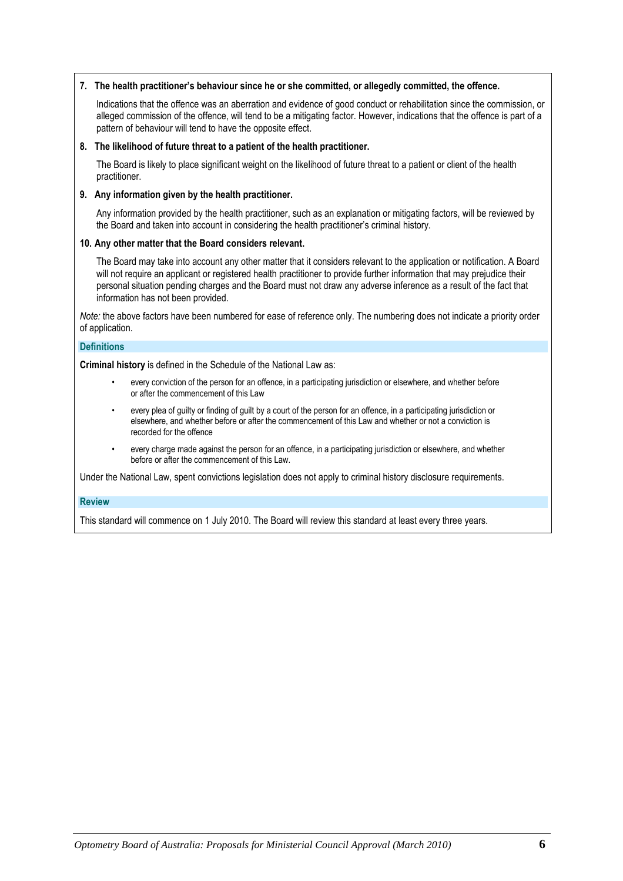#### 7. The health practitioner's behaviour since he or she committed, or allegedly committed, the offence.

 Indications that the offence was an aberration and evidence of good conduct or rehabilitation since the commission, or alleged commission of the offence, will tend to be a mitigating factor. However, indications that the offence is part of a pattern of behaviour will tend to have the opposite effect.

#### 8. The likelihood of future threat to a patient of the health practitioner.

 The Board is likely to place significant weight on the likelihood of future threat to a patient or client of the health practitioner.

#### 9. Any information given by the health practitioner.

 Any information provided by the health practitioner, such as an explanation or mitigating factors, will be reviewed by the Board and taken into account in considering the health practitioner's criminal history.

#### 10. Any other matter that the Board considers relevant.

 The Board may take into account any other matter that it considers relevant to the application or notification. A Board will not require an applicant or registered health practitioner to provide further information that may prejudice their personal situation pending charges and the Board must not draw any adverse inference as a result of the fact that information has not been provided.

Note: the above factors have been numbered for ease of reference only. The numbering does not indicate a priority order of application.

#### **Definitions**

Criminal history is defined in the Schedule of the National Law as:

- every conviction of the person for an offence, in a participating jurisdiction or elsewhere, and whether before or after the commencement of this Law
- every plea of guilty or finding of guilt by a court of the person for an offence, in a participating jurisdiction or elsewhere, and whether before or after the commencement of this Law and whether or not a conviction is recorded for the offence
- every charge made against the person for an offence, in a participating jurisdiction or elsewhere, and whether before or after the commencement of this Law.

Under the National Law, spent convictions legislation does not apply to criminal history disclosure requirements.

#### Review

This standard will commence on 1 July 2010. The Board will review this standard at least every three years.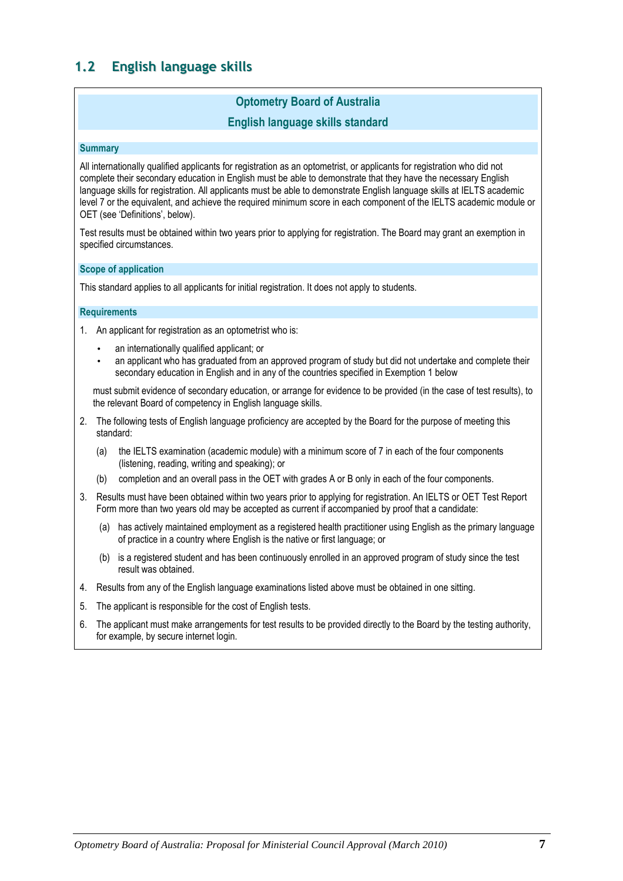# 1.2 English language skills

# Optometry Board of Australia

# English language skills standard

#### **Summary**

All internationally qualified applicants for registration as an optometrist, or applicants for registration who did not complete their secondary education in English must be able to demonstrate that they have the necessary English language skills for registration. All applicants must be able to demonstrate English language skills at IELTS academic level 7 or the equivalent, and achieve the required minimum score in each component of the IELTS academic module or OET (see 'Definitions', below).

Test results must be obtained within two years prior to applying for registration. The Board may grant an exemption in specified circumstances.

#### Scope of application

This standard applies to all applicants for initial registration. It does not apply to students.

#### **Requirements**

- 1. An applicant for registration as an optometrist who is:
	- an internationally qualified applicant; or
	- an applicant who has graduated from an approved program of study but did not undertake and complete their secondary education in English and in any of the countries specified in Exemption 1 below

must submit evidence of secondary education, or arrange for evidence to be provided (in the case of test results), to the relevant Board of competency in English language skills.

- 2. The following tests of English language proficiency are accepted by the Board for the purpose of meeting this standard:
	- (a) the IELTS examination (academic module) with a minimum score of 7 in each of the four components (listening, reading, writing and speaking); or
	- (b) completion and an overall pass in the OET with grades A or B only in each of the four components.
- 3. Results must have been obtained within two years prior to applying for registration. An IELTS or OET Test Report Form more than two years old may be accepted as current if accompanied by proof that a candidate:
	- (a) has actively maintained employment as a registered health practitioner using English as the primary language of practice in a country where English is the native or first language; or
	- (b) is a registered student and has been continuously enrolled in an approved program of study since the test result was obtained.
- 4. Results from any of the English language examinations listed above must be obtained in one sitting.
- 5. The applicant is responsible for the cost of English tests.
- 6. The applicant must make arrangements for test results to be provided directly to the Board by the testing authority, for example, by secure internet login.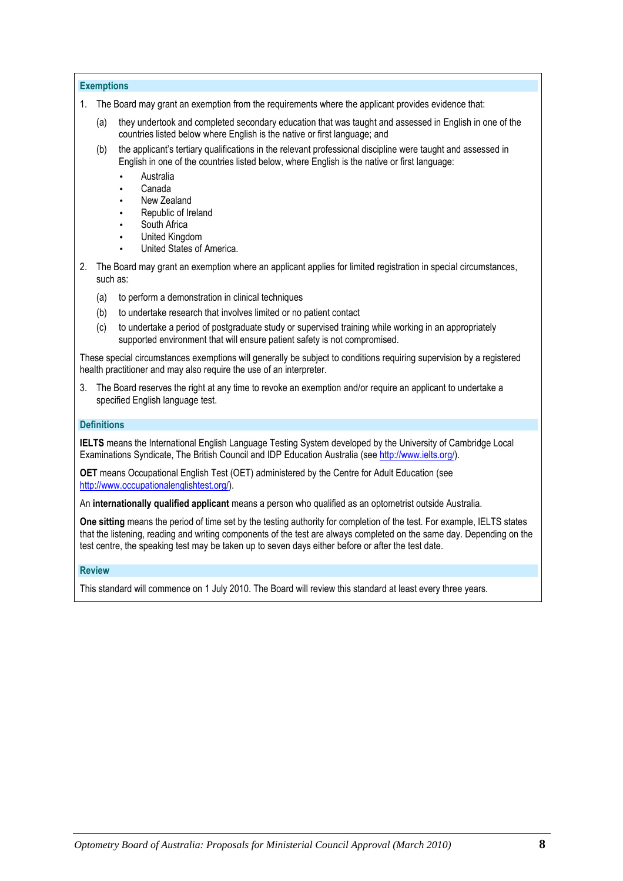#### **Exemptions**

- 1. The Board may grant an exemption from the requirements where the applicant provides evidence that:
	- (a) they undertook and completed secondary education that was taught and assessed in English in one of the countries listed below where English is the native or first language; and
	- (b) the applicant's tertiary qualifications in the relevant professional discipline were taught and assessed in English in one of the countries listed below, where English is the native or first language:
		- Australia
		- Canada
		- New Zealand
		- Republic of Ireland
		- South Africa
		- United Kingdom
		- United States of America.
- 2. The Board may grant an exemption where an applicant applies for limited registration in special circumstances, such as:
	- (a) to perform a demonstration in clinical techniques
	- (b) to undertake research that involves limited or no patient contact
	- (c) to undertake a period of postgraduate study or supervised training while working in an appropriately supported environment that will ensure patient safety is not compromised.

These special circumstances exemptions will generally be subject to conditions requiring supervision by a registered health practitioner and may also require the use of an interpreter.

3. The Board reserves the right at any time to revoke an exemption and/or require an applicant to undertake a specified English language test.

#### **Definitions**

IELTS means the International English Language Testing System developed by the University of Cambridge Local Examinations Syndicate, The British Council and IDP Education Australia (see http://www.ielts.org/).

OET means Occupational English Test (OET) administered by the Centre for Adult Education (see http://www.occupationalenglishtest.org/).

An internationally qualified applicant means a person who qualified as an optometrist outside Australia.

One sitting means the period of time set by the testing authority for completion of the test. For example, IELTS states that the listening, reading and writing components of the test are always completed on the same day. Depending on the test centre, the speaking test may be taken up to seven days either before or after the test date.

#### Review

This standard will commence on 1 July 2010. The Board will review this standard at least every three years.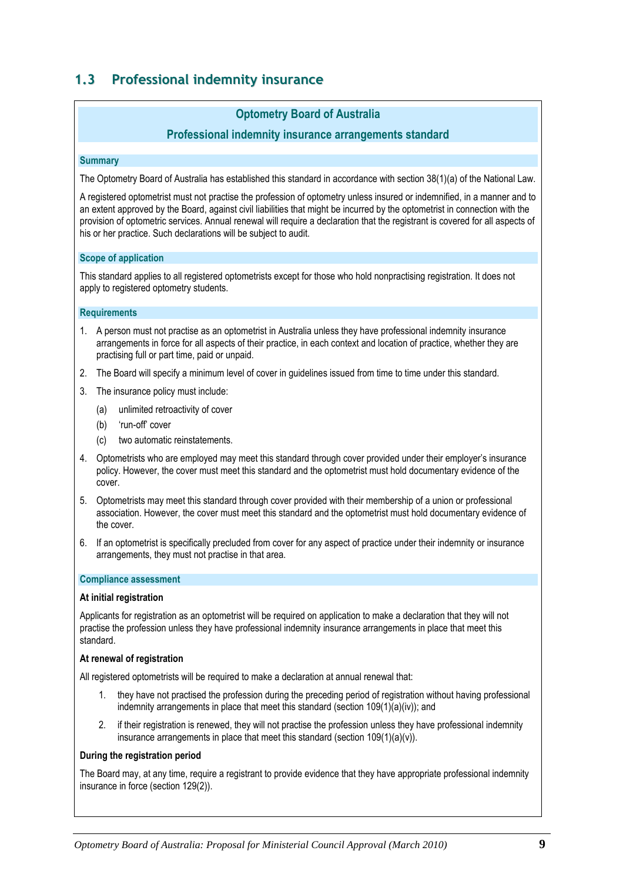# 1.3 Professional indemnity insurance

# Optometry Board of Australia

### Professional indemnity insurance arrangements standard

#### **Summary**

The Optometry Board of Australia has established this standard in accordance with section 38(1)(a) of the National Law.

A registered optometrist must not practise the profession of optometry unless insured or indemnified, in a manner and to an extent approved by the Board, against civil liabilities that might be incurred by the optometrist in connection with the provision of optometric services. Annual renewal will require a declaration that the registrant is covered for all aspects of his or her practice. Such declarations will be subject to audit.

#### Scope of application

This standard applies to all registered optometrists except for those who hold nonpractising registration. It does not apply to registered optometry students.

#### **Requirements**

- 1. A person must not practise as an optometrist in Australia unless they have professional indemnity insurance arrangements in force for all aspects of their practice, in each context and location of practice, whether they are practising full or part time, paid or unpaid.
- 2. The Board will specify a minimum level of cover in guidelines issued from time to time under this standard.
- 3. The insurance policy must include:
	- (a) unlimited retroactivity of cover
	- (b) 'run-off' cover
	- (c) two automatic reinstatements.
- 4. Optometrists who are employed may meet this standard through cover provided under their employer's insurance policy. However, the cover must meet this standard and the optometrist must hold documentary evidence of the cover.
- 5. Optometrists may meet this standard through cover provided with their membership of a union or professional association. However, the cover must meet this standard and the optometrist must hold documentary evidence of the cover.
- 6. If an optometrist is specifically precluded from cover for any aspect of practice under their indemnity or insurance arrangements, they must not practise in that area.

#### Compliance assessment

#### At initial registration

Applicants for registration as an optometrist will be required on application to make a declaration that they will not practise the profession unless they have professional indemnity insurance arrangements in place that meet this standard.

#### At renewal of registration

All registered optometrists will be required to make a declaration at annual renewal that:

- 1. they have not practised the profession during the preceding period of registration without having professional indemnity arrangements in place that meet this standard (section 109(1)(a)(iv)); and
- 2. if their registration is renewed, they will not practise the profession unless they have professional indemnity insurance arrangements in place that meet this standard (section  $109(1)(a)(v)$ ).

#### During the registration period

The Board may, at any time, require a registrant to provide evidence that they have appropriate professional indemnity insurance in force (section 129(2)).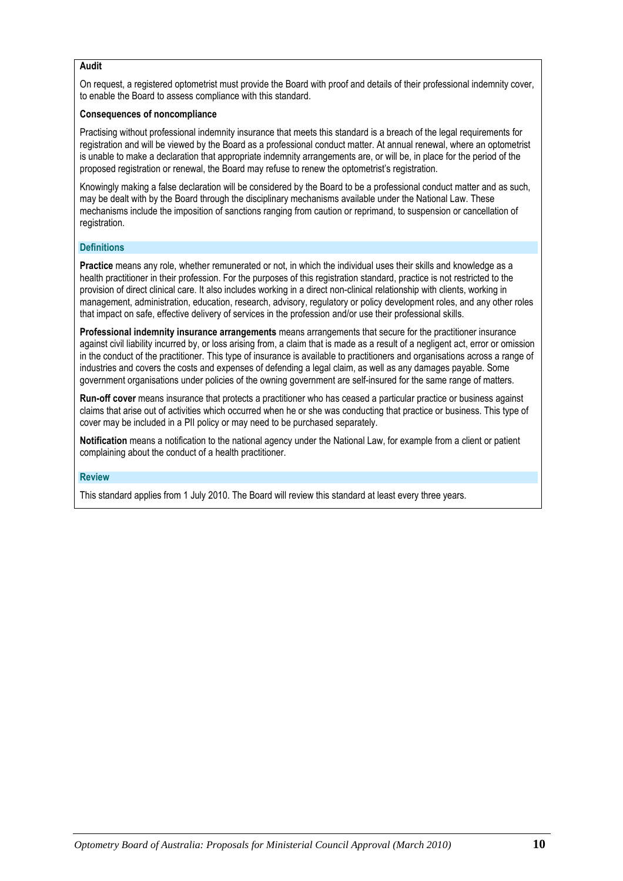#### Audit

On request, a registered optometrist must provide the Board with proof and details of their professional indemnity cover, to enable the Board to assess compliance with this standard.

#### Consequences of noncompliance

Practising without professional indemnity insurance that meets this standard is a breach of the legal requirements for registration and will be viewed by the Board as a professional conduct matter. At annual renewal, where an optometrist is unable to make a declaration that appropriate indemnity arrangements are, or will be, in place for the period of the proposed registration or renewal, the Board may refuse to renew the optometrist's registration.

Knowingly making a false declaration will be considered by the Board to be a professional conduct matter and as such, may be dealt with by the Board through the disciplinary mechanisms available under the National Law. These mechanisms include the imposition of sanctions ranging from caution or reprimand, to suspension or cancellation of registration.

#### **Definitions**

Practice means any role, whether remunerated or not, in which the individual uses their skills and knowledge as a health practitioner in their profession. For the purposes of this registration standard, practice is not restricted to the provision of direct clinical care. It also includes working in a direct non-clinical relationship with clients, working in management, administration, education, research, advisory, regulatory or policy development roles, and any other roles that impact on safe, effective delivery of services in the profession and/or use their professional skills.

Professional indemnity insurance arrangements means arrangements that secure for the practitioner insurance against civil liability incurred by, or loss arising from, a claim that is made as a result of a negligent act, error or omission in the conduct of the practitioner. This type of insurance is available to practitioners and organisations across a range of industries and covers the costs and expenses of defending a legal claim, as well as any damages payable. Some government organisations under policies of the owning government are self-insured for the same range of matters.

Run-off cover means insurance that protects a practitioner who has ceased a particular practice or business against claims that arise out of activities which occurred when he or she was conducting that practice or business. This type of cover may be included in a PII policy or may need to be purchased separately.

Notification means a notification to the national agency under the National Law, for example from a client or patient complaining about the conduct of a health practitioner.

#### Review

This standard applies from 1 July 2010. The Board will review this standard at least every three years.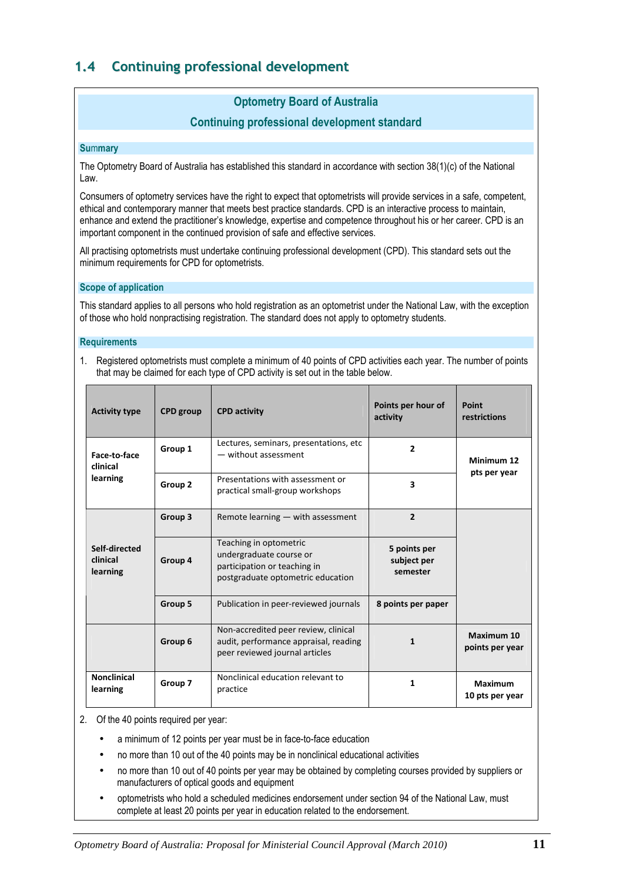# 1.4 Continuing professional development

# Optometry Board of Australia

# Continuing professional development standard

#### **Summary**

The Optometry Board of Australia has established this standard in accordance with section 38(1)(c) of the National Law.

Consumers of optometry services have the right to expect that optometrists will provide services in a safe, competent, ethical and contemporary manner that meets best practice standards. CPD is an interactive process to maintain, enhance and extend the practitioner's knowledge, expertise and competence throughout his or her career. CPD is an important component in the continued provision of safe and effective services.

All practising optometrists must undertake continuing professional development (CPD). This standard sets out the minimum requirements for CPD for optometrists.

#### Scope of application

This standard applies to all persons who hold registration as an optometrist under the National Law, with the exception of those who hold nonpractising registration. The standard does not apply to optometry students.

#### **Requirements**

1. Registered optometrists must complete a minimum of 40 points of CPD activities each year. The number of points that may be claimed for each type of CPD activity is set out in the table below.

| <b>Activity type</b>                  | <b>CPD</b> group | <b>CPD activity</b>                                                                                                    | Points per hour of<br>activity          | Point<br>restrictions             |
|---------------------------------------|------------------|------------------------------------------------------------------------------------------------------------------------|-----------------------------------------|-----------------------------------|
| Face-to-face<br>clinical<br>learning  | Group 1          | Lectures, seminars, presentations, etc.<br>- without assessment                                                        | $\overline{2}$                          | Minimum 12<br>pts per year        |
|                                       | Group 2          | Presentations with assessment or<br>practical small-group workshops                                                    | $\overline{\mathbf{3}}$                 |                                   |
| Self-directed<br>clinical<br>learning | Group 3          | Remote learning - with assessment                                                                                      | $\overline{2}$                          |                                   |
|                                       | Group 4          | Teaching in optometric<br>undergraduate course or<br>participation or teaching in<br>postgraduate optometric education | 5 points per<br>subject per<br>semester |                                   |
|                                       | Group 5          | Publication in peer-reviewed journals                                                                                  | 8 points per paper                      |                                   |
|                                       | Group 6          | Non-accredited peer review, clinical<br>audit, performance appraisal, reading<br>peer reviewed journal articles        | 1                                       | Maximum 10<br>points per year     |
| <b>Nonclinical</b><br>learning        | Group 7          | Nonclinical education relevant to<br>practice                                                                          | 1                                       | <b>Maximum</b><br>10 pts per year |

2. Of the 40 points required per year:

- a minimum of 12 points per year must be in face-to-face education
- no more than 10 out of the 40 points may be in nonclinical educational activities
- no more than 10 out of 40 points per year may be obtained by completing courses provided by suppliers or manufacturers of optical goods and equipment
- optometrists who hold a scheduled medicines endorsement under section 94 of the National Law, must complete at least 20 points per year in education related to the endorsement.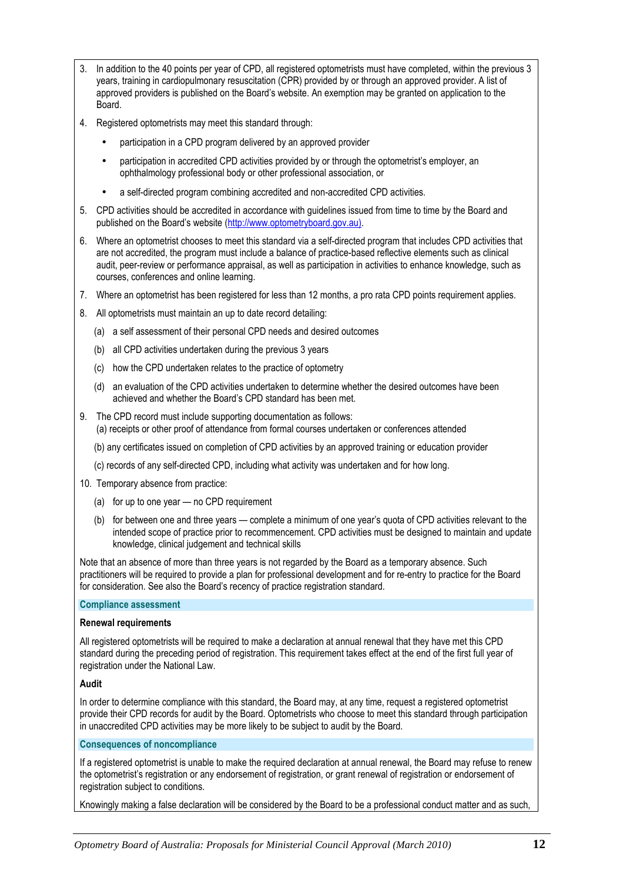- 3. In addition to the 40 points per year of CPD, all registered optometrists must have completed, within the previous 3 years, training in cardiopulmonary resuscitation (CPR) provided by or through an approved provider. A list of approved providers is published on the Board's website. An exemption may be granted on application to the Board.
- 4. Registered optometrists may meet this standard through:
	- participation in a CPD program delivered by an approved provider
	- participation in accredited CPD activities provided by or through the optometrist's employer, an ophthalmology professional body or other professional association, or
	- a self-directed program combining accredited and non-accredited CPD activities.
- 5. CPD activities should be accredited in accordance with guidelines issued from time to time by the Board and published on the Board's website (http://www.optometryboard.gov.au).
- 6. Where an optometrist chooses to meet this standard via a self-directed program that includes CPD activities that are not accredited, the program must include a balance of practice-based reflective elements such as clinical audit, peer-review or performance appraisal, as well as participation in activities to enhance knowledge, such as courses, conferences and online learning.
- 7. Where an optometrist has been registered for less than 12 months, a pro rata CPD points requirement applies.
- 8. All optometrists must maintain an up to date record detailing:
	- (a) a self assessment of their personal CPD needs and desired outcomes
	- (b) all CPD activities undertaken during the previous 3 years
	- (c) how the CPD undertaken relates to the practice of optometry
	- (d) an evaluation of the CPD activities undertaken to determine whether the desired outcomes have been achieved and whether the Board's CPD standard has been met.
- 9. The CPD record must include supporting documentation as follows: (a) receipts or other proof of attendance from formal courses undertaken or conferences attended
	- (b) any certificates issued on completion of CPD activities by an approved training or education provider
	- (c) records of any self-directed CPD, including what activity was undertaken and for how long.
- 10. Temporary absence from practice:
	- (a) for up to one year no CPD requirement
	- (b) for between one and three years complete a minimum of one year's quota of CPD activities relevant to the intended scope of practice prior to recommencement. CPD activities must be designed to maintain and update knowledge, clinical judgement and technical skills

Note that an absence of more than three years is not regarded by the Board as a temporary absence. Such practitioners will be required to provide a plan for professional development and for re-entry to practice for the Board for consideration. See also the Board's recency of practice registration standard.

#### Compliance assessment

#### Renewal requirements

All registered optometrists will be required to make a declaration at annual renewal that they have met this CPD standard during the preceding period of registration. This requirement takes effect at the end of the first full year of registration under the National Law.

#### Audit

In order to determine compliance with this standard, the Board may, at any time, request a registered optometrist provide their CPD records for audit by the Board. Optometrists who choose to meet this standard through participation in unaccredited CPD activities may be more likely to be subject to audit by the Board.

#### Consequences of noncompliance

If a registered optometrist is unable to make the required declaration at annual renewal, the Board may refuse to renew the optometrist's registration or any endorsement of registration, or grant renewal of registration or endorsement of registration subject to conditions.

Knowingly making a false declaration will be considered by the Board to be a professional conduct matter and as such,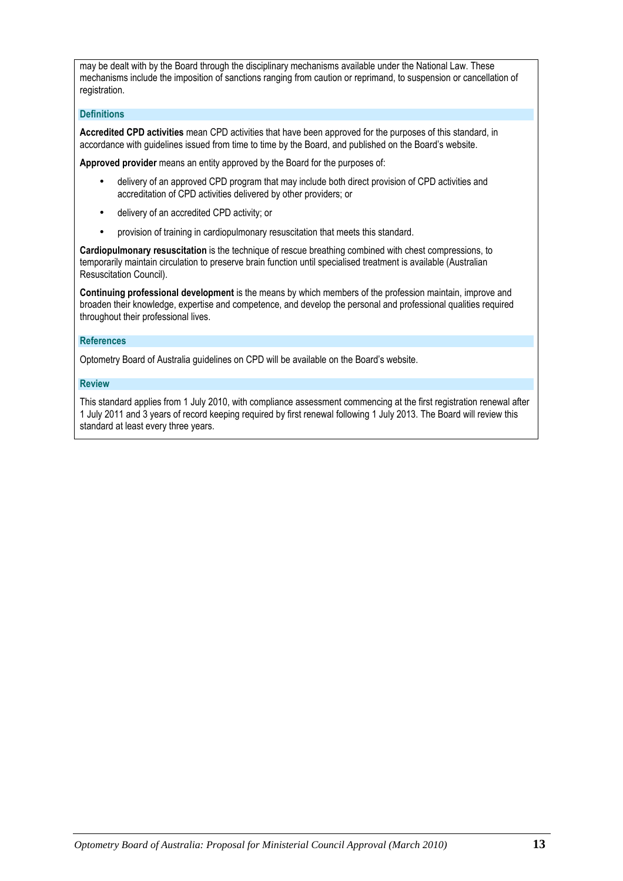may be dealt with by the Board through the disciplinary mechanisms available under the National Law. These mechanisms include the imposition of sanctions ranging from caution or reprimand, to suspension or cancellation of registration.

#### **Definitions**

Accredited CPD activities mean CPD activities that have been approved for the purposes of this standard, in accordance with guidelines issued from time to time by the Board, and published on the Board's website.

Approved provider means an entity approved by the Board for the purposes of:

- delivery of an approved CPD program that may include both direct provision of CPD activities and accreditation of CPD activities delivered by other providers; or
- delivery of an accredited CPD activity; or
- provision of training in cardiopulmonary resuscitation that meets this standard.

Cardiopulmonary resuscitation is the technique of rescue breathing combined with chest compressions, to temporarily maintain circulation to preserve brain function until specialised treatment is available (Australian Resuscitation Council).

Continuing professional development is the means by which members of the profession maintain, improve and broaden their knowledge, expertise and competence, and develop the personal and professional qualities required throughout their professional lives.

#### References

Optometry Board of Australia guidelines on CPD will be available on the Board's website.

#### Review

This standard applies from 1 July 2010, with compliance assessment commencing at the first registration renewal after 1 July 2011 and 3 years of record keeping required by first renewal following 1 July 2013. The Board will review this standard at least every three years.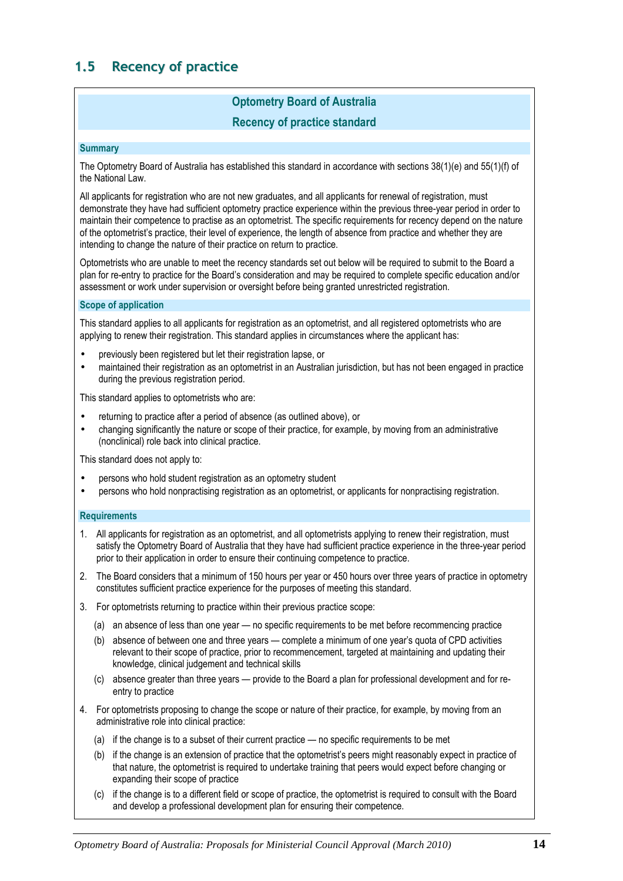# 1.5 Recency of practice

# Optometry Board of Australia

# Recency of practice standard

#### **Summary**

The Optometry Board of Australia has established this standard in accordance with sections 38(1)(e) and 55(1)(f) of the National Law.

All applicants for registration who are not new graduates, and all applicants for renewal of registration, must demonstrate they have had sufficient optometry practice experience within the previous three-year period in order to maintain their competence to practise as an optometrist. The specific requirements for recency depend on the nature of the optometrist's practice, their level of experience, the length of absence from practice and whether they are intending to change the nature of their practice on return to practice.

Optometrists who are unable to meet the recency standards set out below will be required to submit to the Board a plan for re-entry to practice for the Board's consideration and may be required to complete specific education and/or assessment or work under supervision or oversight before being granted unrestricted registration.

#### Scope of application

This standard applies to all applicants for registration as an optometrist, and all registered optometrists who are applying to renew their registration. This standard applies in circumstances where the applicant has:

- previously been registered but let their registration lapse, or
- maintained their registration as an optometrist in an Australian jurisdiction, but has not been engaged in practice during the previous registration period.

This standard applies to optometrists who are:

- returning to practice after a period of absence (as outlined above), or
- changing significantly the nature or scope of their practice, for example, by moving from an administrative (nonclinical) role back into clinical practice.

This standard does not apply to:

- persons who hold student registration as an optometry student
- persons who hold nonpractising registration as an optometrist, or applicants for nonpractising registration.

#### **Requirements**

- 1. All applicants for registration as an optometrist, and all optometrists applying to renew their registration, must satisfy the Optometry Board of Australia that they have had sufficient practice experience in the three-year period prior to their application in order to ensure their continuing competence to practice.
- 2. The Board considers that a minimum of 150 hours per year or 450 hours over three years of practice in optometry constitutes sufficient practice experience for the purposes of meeting this standard.
- 3. For optometrists returning to practice within their previous practice scope:
	- (a) an absence of less than one year no specific requirements to be met before recommencing practice
	- (b) absence of between one and three years complete a minimum of one year's quota of CPD activities relevant to their scope of practice, prior to recommencement, targeted at maintaining and updating their knowledge, clinical judgement and technical skills
	- (c) absence greater than three years provide to the Board a plan for professional development and for reentry to practice
- 4. For optometrists proposing to change the scope or nature of their practice, for example, by moving from an administrative role into clinical practice:
	- (a) if the change is to a subset of their current practice no specific requirements to be met
	- (b) if the change is an extension of practice that the optometrist's peers might reasonably expect in practice of that nature, the optometrist is required to undertake training that peers would expect before changing or expanding their scope of practice
	- (c) if the change is to a different field or scope of practice, the optometrist is required to consult with the Board and develop a professional development plan for ensuring their competence.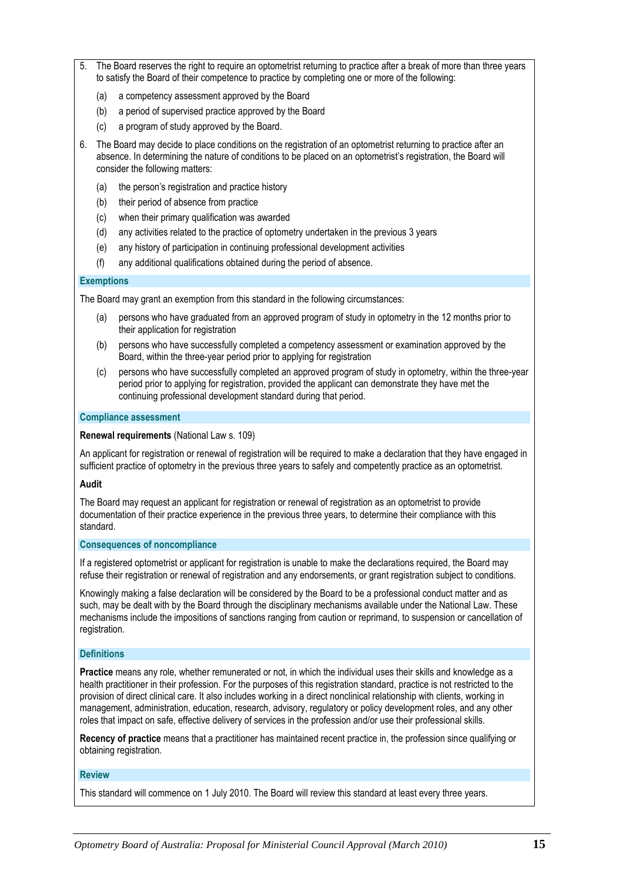- The Board reserves the right to require an optometrist returning to practice after a break of more than three years to satisfy the Board of their competence to practice by completing one or more of the following:
	- (a) a competency assessment approved by the Board
	- (b) a period of supervised practice approved by the Board
	- (c) a program of study approved by the Board.
- 6. The Board may decide to place conditions on the registration of an optometrist returning to practice after an absence. In determining the nature of conditions to be placed on an optometrist's registration, the Board will consider the following matters:
	- (a) the person's registration and practice history
	- (b) their period of absence from practice
	- (c) when their primary qualification was awarded
	- (d) any activities related to the practice of optometry undertaken in the previous 3 years
	- (e) any history of participation in continuing professional development activities
	- (f) any additional qualifications obtained during the period of absence.

#### **Exemptions**

The Board may grant an exemption from this standard in the following circumstances:

- (a) persons who have graduated from an approved program of study in optometry in the 12 months prior to their application for registration
- (b) persons who have successfully completed a competency assessment or examination approved by the Board, within the three-year period prior to applying for registration
- (c) persons who have successfully completed an approved program of study in optometry, within the three-year period prior to applying for registration, provided the applicant can demonstrate they have met the continuing professional development standard during that period.

#### Compliance assessment

#### Renewal requirements (National Law s. 109)

An applicant for registration or renewal of registration will be required to make a declaration that they have engaged in sufficient practice of optometry in the previous three years to safely and competently practice as an optometrist.

#### Audit

The Board may request an applicant for registration or renewal of registration as an optometrist to provide documentation of their practice experience in the previous three years, to determine their compliance with this standard.

#### Consequences of noncompliance

If a registered optometrist or applicant for registration is unable to make the declarations required, the Board may refuse their registration or renewal of registration and any endorsements, or grant registration subject to conditions.

Knowingly making a false declaration will be considered by the Board to be a professional conduct matter and as such, may be dealt with by the Board through the disciplinary mechanisms available under the National Law. These mechanisms include the impositions of sanctions ranging from caution or reprimand, to suspension or cancellation of registration.

#### **Definitions**

Practice means any role, whether remunerated or not, in which the individual uses their skills and knowledge as a health practitioner in their profession. For the purposes of this registration standard, practice is not restricted to the provision of direct clinical care. It also includes working in a direct nonclinical relationship with clients, working in management, administration, education, research, advisory, regulatory or policy development roles, and any other roles that impact on safe, effective delivery of services in the profession and/or use their professional skills.

Recency of practice means that a practitioner has maintained recent practice in, the profession since qualifying or obtaining registration.

#### Review

This standard will commence on 1 July 2010. The Board will review this standard at least every three years.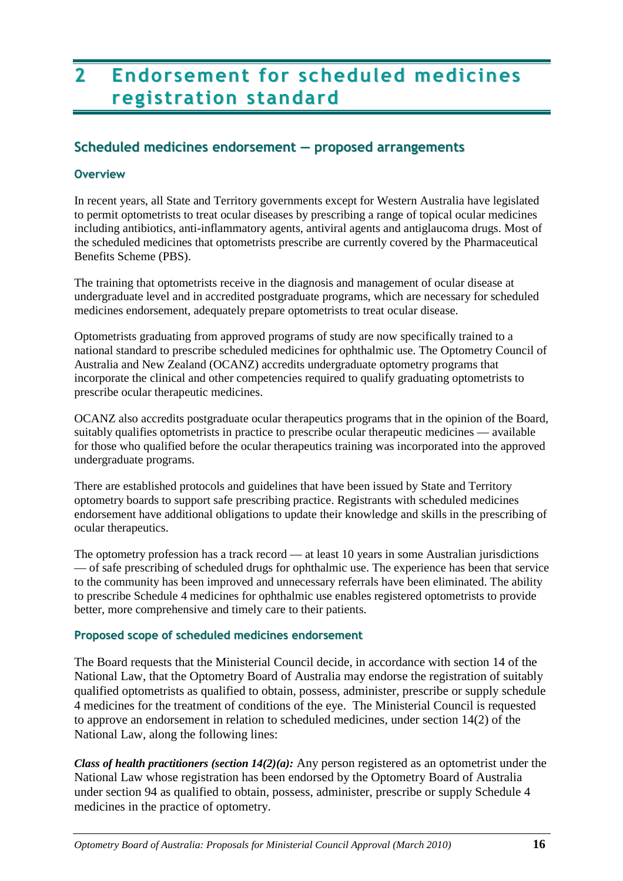# 2 Endorsement for scheduled medicines registration standard

# Scheduled medicines endorsement — proposed arrangements

# **Overview**

In recent years, all State and Territory governments except for Western Australia have legislated to permit optometrists to treat ocular diseases by prescribing a range of topical ocular medicines including antibiotics, anti-inflammatory agents, antiviral agents and antiglaucoma drugs. Most of the scheduled medicines that optometrists prescribe are currently covered by the Pharmaceutical Benefits Scheme (PBS).

The training that optometrists receive in the diagnosis and management of ocular disease at undergraduate level and in accredited postgraduate programs, which are necessary for scheduled medicines endorsement, adequately prepare optometrists to treat ocular disease.

Optometrists graduating from approved programs of study are now specifically trained to a national standard to prescribe scheduled medicines for ophthalmic use. The Optometry Council of Australia and New Zealand (OCANZ) accredits undergraduate optometry programs that incorporate the clinical and other competencies required to qualify graduating optometrists to prescribe ocular therapeutic medicines.

OCANZ also accredits postgraduate ocular therapeutics programs that in the opinion of the Board, suitably qualifies optometrists in practice to prescribe ocular therapeutic medicines — available for those who qualified before the ocular therapeutics training was incorporated into the approved undergraduate programs.

There are established protocols and guidelines that have been issued by State and Territory optometry boards to support safe prescribing practice. Registrants with scheduled medicines endorsement have additional obligations to update their knowledge and skills in the prescribing of ocular therapeutics.

The optometry profession has a track record — at least 10 years in some Australian jurisdictions — of safe prescribing of scheduled drugs for ophthalmic use. The experience has been that service to the community has been improved and unnecessary referrals have been eliminated. The ability to prescribe Schedule 4 medicines for ophthalmic use enables registered optometrists to provide better, more comprehensive and timely care to their patients.

# Proposed scope of scheduled medicines endorsement

The Board requests that the Ministerial Council decide, in accordance with section 14 of the National Law, that the Optometry Board of Australia may endorse the registration of suitably qualified optometrists as qualified to obtain, possess, administer, prescribe or supply schedule 4 medicines for the treatment of conditions of the eye. The Ministerial Council is requested to approve an endorsement in relation to scheduled medicines, under section 14(2) of the National Law, along the following lines:

*Class of health practitioners (section 14(2)(a):* Any person registered as an optometrist under the National Law whose registration has been endorsed by the Optometry Board of Australia under section 94 as qualified to obtain, possess, administer, prescribe or supply Schedule 4 medicines in the practice of optometry.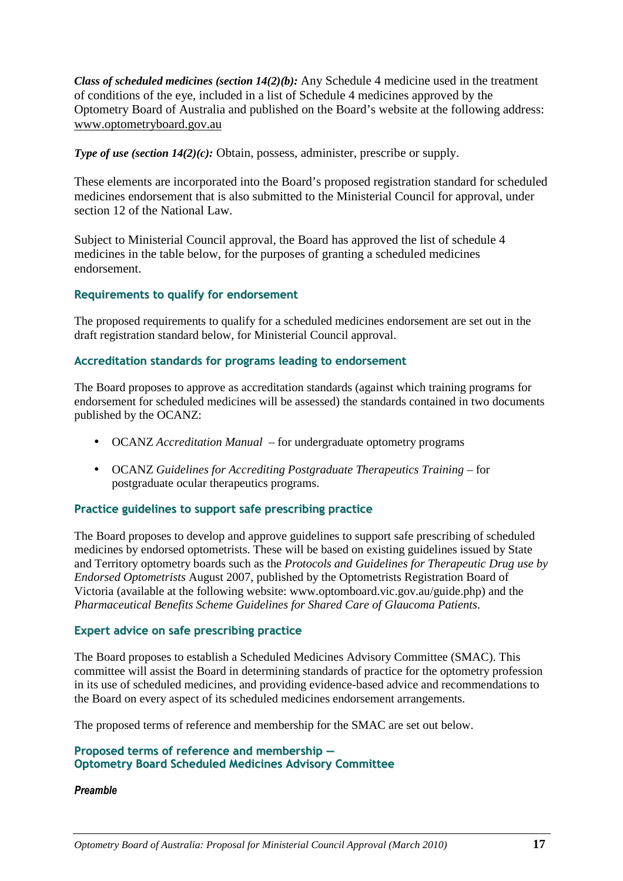*Class of scheduled medicines (section 14(2)(b):* Any Schedule 4 medicine used in the treatment of conditions of the eye, included in a list of Schedule 4 medicines approved by the Optometry Board of Australia and published on the Board's website at the following address: www.optometryboard.gov.au

*Type of use (section 14(2)(c):* Obtain, possess, administer, prescribe or supply.

These elements are incorporated into the Board's proposed registration standard for scheduled medicines endorsement that is also submitted to the Ministerial Council for approval, under section 12 of the National Law.

Subject to Ministerial Council approval, the Board has approved the list of schedule 4 medicines in the table below, for the purposes of granting a scheduled medicines endorsement.

# Requirements to qualify for endorsement

The proposed requirements to qualify for a scheduled medicines endorsement are set out in the draft registration standard below, for Ministerial Council approval.

# Accreditation standards for programs leading to endorsement

The Board proposes to approve as accreditation standards (against which training programs for endorsement for scheduled medicines will be assessed) the standards contained in two documents published by the OCANZ:

- OCANZ *Accreditation Manual –* for undergraduate optometry programs
- OCANZ *Guidelines for Accrediting Postgraduate Therapeutics Training –* for postgraduate ocular therapeutics programs.

### Practice guidelines to support safe prescribing practice

The Board proposes to develop and approve guidelines to support safe prescribing of scheduled medicines by endorsed optometrists. These will be based on existing guidelines issued by State and Territory optometry boards such as the *Protocols and Guidelines for Therapeutic Drug use by Endorsed Optometrists* August 2007, published by the Optometrists Registration Board of Victoria (available at the following website: www.optomboard.vic.gov.au/guide.php) and the *Pharmaceutical Benefits Scheme Guidelines for Shared Care of Glaucoma Patients*.

### Expert advice on safe prescribing practice

The Board proposes to establish a Scheduled Medicines Advisory Committee (SMAC). This committee will assist the Board in determining standards of practice for the optometry profession in its use of scheduled medicines, and providing evidence-based advice and recommendations to the Board on every aspect of its scheduled medicines endorsement arrangements.

The proposed terms of reference and membership for the SMAC are set out below.

# Proposed terms of reference and membership — Optometry Board Scheduled Medicines Advisory Committee

### Preamble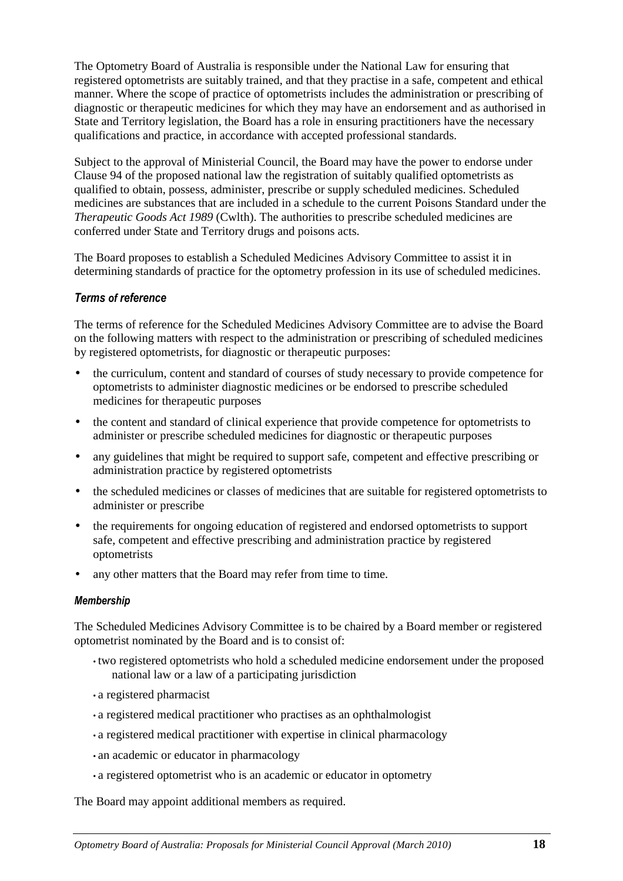The Optometry Board of Australia is responsible under the National Law for ensuring that registered optometrists are suitably trained, and that they practise in a safe, competent and ethical manner. Where the scope of practice of optometrists includes the administration or prescribing of diagnostic or therapeutic medicines for which they may have an endorsement and as authorised in State and Territory legislation, the Board has a role in ensuring practitioners have the necessary qualifications and practice, in accordance with accepted professional standards.

Subject to the approval of Ministerial Council, the Board may have the power to endorse under Clause 94 of the proposed national law the registration of suitably qualified optometrists as qualified to obtain, possess, administer, prescribe or supply scheduled medicines. Scheduled medicines are substances that are included in a schedule to the current Poisons Standard under the *Therapeutic Goods Act 1989* (Cwlth). The authorities to prescribe scheduled medicines are conferred under State and Territory drugs and poisons acts.

The Board proposes to establish a Scheduled Medicines Advisory Committee to assist it in determining standards of practice for the optometry profession in its use of scheduled medicines.

# Terms of reference

The terms of reference for the Scheduled Medicines Advisory Committee are to advise the Board on the following matters with respect to the administration or prescribing of scheduled medicines by registered optometrists, for diagnostic or therapeutic purposes:

- the curriculum, content and standard of courses of study necessary to provide competence for optometrists to administer diagnostic medicines or be endorsed to prescribe scheduled medicines for therapeutic purposes
- the content and standard of clinical experience that provide competence for optometrists to administer or prescribe scheduled medicines for diagnostic or therapeutic purposes
- any guidelines that might be required to support safe, competent and effective prescribing or administration practice by registered optometrists
- the scheduled medicines or classes of medicines that are suitable for registered optometrists to administer or prescribe
- the requirements for ongoing education of registered and endorsed optometrists to support safe, competent and effective prescribing and administration practice by registered optometrists
- any other matters that the Board may refer from time to time.

### Membership

The Scheduled Medicines Advisory Committee is to be chaired by a Board member or registered optometrist nominated by the Board and is to consist of:

- two registered optometrists who hold a scheduled medicine endorsement under the proposed national law or a law of a participating jurisdiction
- a registered pharmacist
- a registered medical practitioner who practises as an ophthalmologist
- a registered medical practitioner with expertise in clinical pharmacology
- an academic or educator in pharmacology
- a registered optometrist who is an academic or educator in optometry

The Board may appoint additional members as required.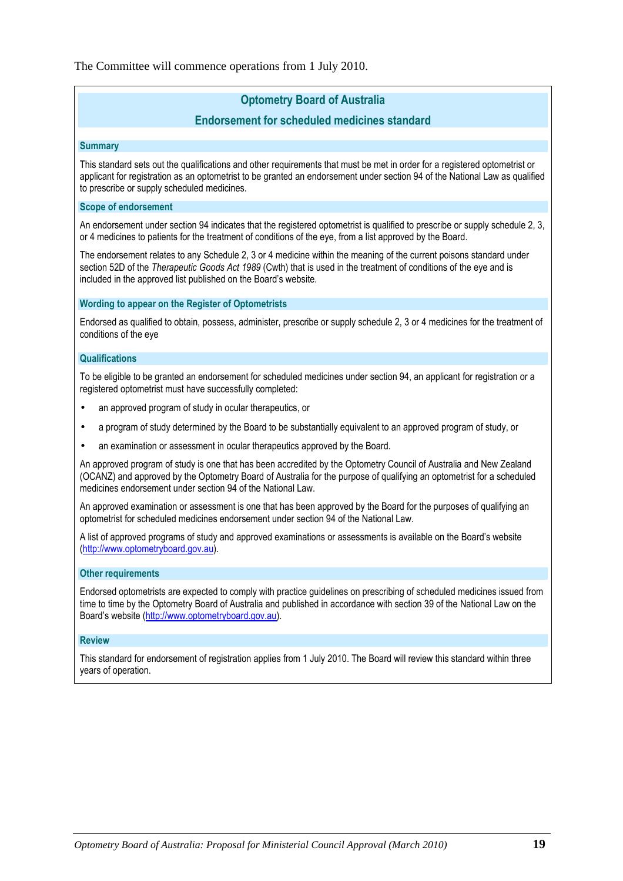The Committee will commence operations from 1 July 2010.

# Optometry Board of Australia

# Endorsement for scheduled medicines standard

**Summary** 

This standard sets out the qualifications and other requirements that must be met in order for a registered optometrist or applicant for registration as an optometrist to be granted an endorsement under section 94 of the National Law as qualified to prescribe or supply scheduled medicines.

#### Scope of endorsement

An endorsement under section 94 indicates that the registered optometrist is qualified to prescribe or supply schedule 2, 3, or 4 medicines to patients for the treatment of conditions of the eye, from a list approved by the Board.

The endorsement relates to any Schedule 2, 3 or 4 medicine within the meaning of the current poisons standard under section 52D of the Therapeutic Goods Act 1989 (Cwth) that is used in the treatment of conditions of the eye and is included in the approved list published on the Board's website.

#### Wording to appear on the Register of Optometrists

Endorsed as qualified to obtain, possess, administer, prescribe or supply schedule 2, 3 or 4 medicines for the treatment of conditions of the eye

#### **Qualifications**

To be eligible to be granted an endorsement for scheduled medicines under section 94, an applicant for registration or a registered optometrist must have successfully completed:

- an approved program of study in ocular therapeutics, or
- a program of study determined by the Board to be substantially equivalent to an approved program of study, or
- an examination or assessment in ocular therapeutics approved by the Board.

An approved program of study is one that has been accredited by the Optometry Council of Australia and New Zealand (OCANZ) and approved by the Optometry Board of Australia for the purpose of qualifying an optometrist for a scheduled medicines endorsement under section 94 of the National Law.

An approved examination or assessment is one that has been approved by the Board for the purposes of qualifying an optometrist for scheduled medicines endorsement under section 94 of the National Law.

A list of approved programs of study and approved examinations or assessments is available on the Board's website (http://www.optometryboard.gov.au).

#### Other requirements

Endorsed optometrists are expected to comply with practice guidelines on prescribing of scheduled medicines issued from time to time by the Optometry Board of Australia and published in accordance with section 39 of the National Law on the Board's website (http://www.optometryboard.gov.au).

#### Review

This standard for endorsement of registration applies from 1 July 2010. The Board will review this standard within three years of operation.